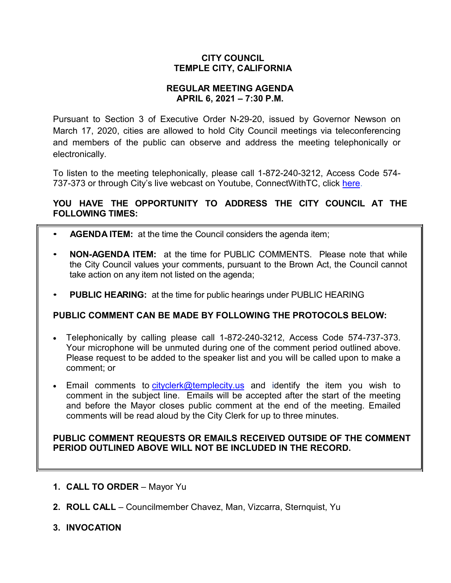### **CITY COUNCIL TEMPLE CITY, CALIFORNIA**

### **REGULAR MEETING AGENDA APRIL 6, 2021 – 7:30 P.M.**

Pursuant to Section 3 of Executive Order N-29-20, issued by Governor Newson on March 17, 2020, cities are allowed to hold City Council meetings via teleconferencing and members of the public can observe and address the meeting telephonically or electronically.

To listen to the meeting telephonically, please call 1-872-240-3212, Access Code 574 737-373 or through City's live webcast on Youtube, ConnectWithTC, click [here.](https://www.ci.temple-city.ca.us/516/Meeting-Webcast)

# **YOU HAVE THE OPPORTUNITY TO ADDRESS THE CITY COUNCIL AT THE FOLLOWING TIMES:**

- **AGENDA ITEM:** at the time the Council considers the agenda item;
- **NON-AGENDA ITEM:** at the time for PUBLIC COMMENTS. Please note that while the City Council values your comments, pursuant to the Brown Act, the Council cannot take action on any item not listed on the agenda;
- **PUBLIC HEARING:** at the time for public hearings under PUBLIC HEARING

# **PUBLIC COMMENT CAN BE MADE BY FOLLOWING THE PROTOCOLS BELOW:**

- Telephonically by calling please call 1-872-240-3212, Access Code 574-737-373. Your microphone will be unmuted during one of the comment period outlined above. Please request to be added to the speaker list and you will be called upon to make a comment; or
- Email comments to [cityclerk@templecity.us](mailto:cityclerk@templecity.us) and identify the item you wish to comment in the subject line. Emails will be accepted after the start of the meeting and before the Mayor closes public comment at the end of the meeting. Emailed comments will be read aloud by the City Clerk for up to three minutes.

### **PUBLIC COMMENT REQUESTS OR EMAILS RECEIVED OUTSIDE OF THE COMMENT PERIOD OUTLINED ABOVE WILL NOT BE INCLUDED IN THE RECORD.**

- **1. CALL TO ORDER**  Mayor Yu
- **2. ROLL CALL**  Councilmember Chavez, Man, Vizcarra, Sternquist, Yu
- **3. INVOCATION**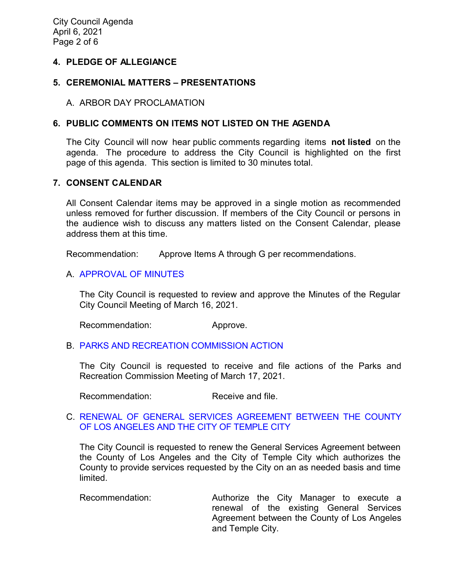### **4. PLEDGE OF ALLEGIANCE**

### **5. CEREMONIAL MATTERS – PRESENTATIONS**

#### A. ARBOR DAY PROCLAMATION

### **6. PUBLIC COMMENTS ON ITEMS NOT LISTED ON THE AGENDA**

The City Council will now hear public comments regarding items **not listed** on the agenda. The procedure to address the City Council is highlighted on the first page of this agenda. This section is limited to 30 minutes total.

### **7. CONSENT CALENDAR**

All Consent Calendar items may be approved in a single motion as recommended unless removed for further discussion. If members of the City Council or persons in the audience wish to discuss any matters listed on the Consent Calendar, please address them at this time.

Recommendation: Approve Items A through G per recommendations.

### A. [APPROVAL](https://ca-templecity.civicplus.com/DocumentCenter/View/16054/02_7A_CCM---2021-03-16) OF MINUTES

The City Council is requested to review and approve the Minutes of the Regular City Council Meeting of March 16, 2021.

Recommendation: Approve.

# B. [PARKS AND RECREATION](https://ca-templecity.civicplus.com/DocumentCenter/View/16055/03_7B_PRC-Regular-Meeting-Actions_Staff-Report-2021-4-6) COMMISSION ACTION

The City Council is requested to receive and file actions of the Parks and Recreation Commission Meeting of March 17, 2021.

Recommendation: Receive and file.

### C. [RENEWAL OF GENERAL SERVICES AGREEMENT BETWEEN THE COUNTY](https://ca-templecity.civicplus.com/DocumentCenter/View/16056/04_7C_LA-County-General-Services-Agreement_final-w-attachment)  [OF LOS ANGELES AND THE CITY OF TEMPLE CITY](https://ca-templecity.civicplus.com/DocumentCenter/View/16056/04_7C_LA-County-General-Services-Agreement_final-w-attachment)

The City Council is requested to renew the General Services Agreement between the County of Los Angeles and the City of Temple City which authorizes the County to provide services requested by the City on an as needed basis and time limited.

Recommendation: Authorize the City Manager to execute a renewal of the existing General Services Agreement between the County of Los Angeles and Temple City.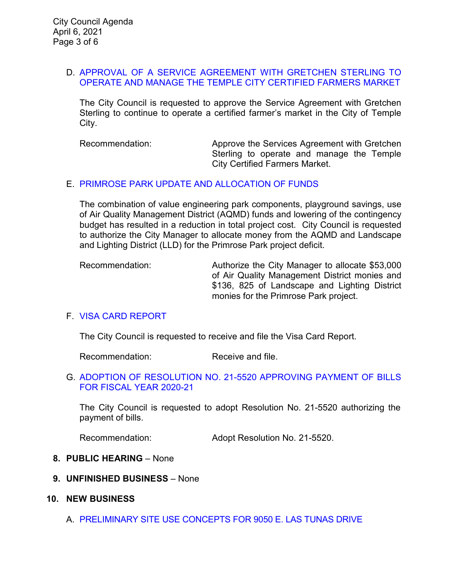#### D. [APPROVAL OF A SERVICE AGREEMENT WITH GRETCHEN STERLING TO](https://ca-templecity.civicplus.com/DocumentCenter/View/16057/05_7D_Farmers-Market-Agreement_Staff-Report-2021_final-w-attachment)  [OPERATE AND MANAGE THE TEMPLE CITY CERTIFIED FARMERS MARKET](https://ca-templecity.civicplus.com/DocumentCenter/View/16057/05_7D_Farmers-Market-Agreement_Staff-Report-2021_final-w-attachment)

The City Council is requested to approve the Service Agreement with Gretchen Sterling to continue to operate a certified farmer's market in the City of Temple City.

Recommendation: Approve the Services Agreement with Gretchen Sterling to operate and manage the Temple City Certified Farmers Market.

### E. [PRIMROSE PARK UPDATE AND ALLOCATION OF FUNDS](https://ca-templecity.civicplus.com/DocumentCenter/View/16058/06_7E_Primrose-Park-Update-and-Allocation-of-Funds---Staff-Report-w-attachment)

The combination of value engineering park components, playground savings, use of Air Quality Management District (AQMD) funds and lowering of the contingency budget has resulted in a reduction in total project cost. City Council is requested to authorize the City Manager to allocate money from the AQMD and Landscape and Lighting District (LLD) for the Primrose Park project deficit.

Recommendation: Authorize the City Manager to allocate \$53,000 of Air Quality Management District monies and \$136, 825 of Landscape and Lighting District monies for the Primrose Park project.

### F. [VISA CARD REPORT](https://ca-templecity.civicplus.com/DocumentCenter/View/16067/07_7F_Visa-Card-Report)

The City Council is requested to receive and file the Visa Card Report.

Recommendation: Receive and file.

#### G. [ADOPTION OF RESOLUTION NO. 21-5520](https://ca-templecity.civicplus.com/DocumentCenter/View/16059/08_7G_Reso-No-21-5520-040621---Warrants--Demands-FY-2020-2021) APPROVING PAYMENT OF BILLS [FOR FISCAL YEAR 2020-21](https://ca-templecity.civicplus.com/DocumentCenter/View/16059/08_7G_Reso-No-21-5520-040621---Warrants--Demands-FY-2020-2021)

The City Council is requested to adopt Resolution No. 21-5520 authorizing the payment of bills.

Recommendation: Adopt Resolution No. 21-5520.

### **8. PUBLIC HEARING** – None

**9. UNFINISHED BUSINESS** – None

#### **10. NEW BUSINESS**

A. [PRELIMINARY SITE USE CONCEPTS FOR 9050 E. LAS TUNAS DRIVE](https://ca-templecity.civicplus.com/DocumentCenter/View/16062/09_10A_9050-Las-Tunas-Dr_Staff-Report-Use-Concept_final-w-attachments)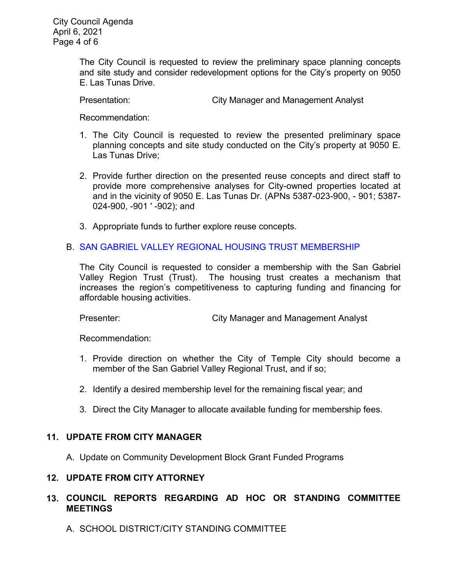The City Council is requested to review the preliminary space planning concepts and site study and consider redevelopment options for the City's property on 9050 E. Las Tunas Drive.

Presentation: City Manager and Management Analyst

Recommendation:

- 1. The City Council is requested to review the presented preliminary space planning concepts and site study conducted on the City's property at 9050 E. Las Tunas Drive;
- 2. Provide further direction on the presented reuse concepts and direct staff to provide more comprehensive analyses for City-owned properties located at and in the vicinity of 9050 E. Las Tunas Dr. (APNs 5387-023-900, - 901; 5387- 024-900, -901 ' -902); and
- 3. Appropriate funds to further explore reuse concepts.

# B. SAN GABRIEL VALLEY REGIONAL HOUSING TRUST [MEMBERSHIP](https://ca-templecity.civicplus.com/DocumentCenter/View/16060/10_10B---SGV-Regional-Housing-Trust_Staff-Report_final-w-attachments)

The City Council is requested to consider a membership with the San Gabriel Valley Region Trust (Trust). The housing trust creates a mechanism that increases the region's competitiveness to capturing funding and financing for affordable housing activities.

Presenter: City Manager and Management Analyst

Recommendation:

- 1. Provide direction on whether the City of Temple City should become a member of the San Gabriel Valley Regional Trust, and if so;
- 2. Identify a desired membership level for the remaining fiscal year; and
- 3. Direct the City Manager to allocate available funding for membership fees.

# **11. UPDATE FROM CITY MANAGER**

A. Update on Community Development Block Grant Funded Programs

### **12. UPDATE FROM CITY ATTORNEY**

# **13. COUNCIL REPORTS REGARDING AD HOC OR STANDING COMMITTEE MEETINGS**

A. SCHOOL DISTRICT/CITY STANDING COMMITTEE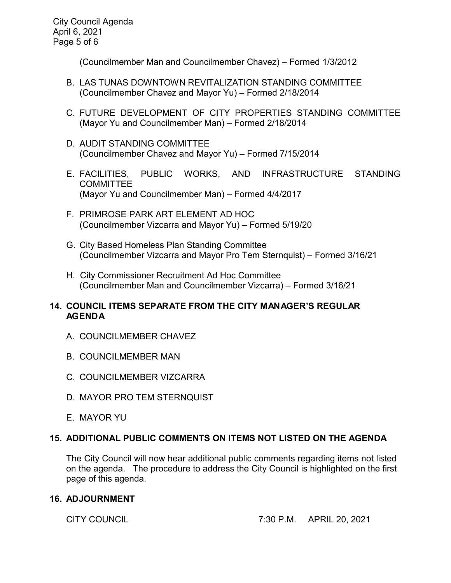(Councilmember Man and Councilmember Chavez) – Formed 1/3/2012

- B. LAS TUNAS DOWNTOWN REVITALIZATION STANDING COMMITTEE (Councilmember Chavez and Mayor Yu) – Formed 2/18/2014
- C. FUTURE DEVELOPMENT OF CITY PROPERTIES STANDING COMMITTEE (Mayor Yu and Councilmember Man) – Formed 2/18/2014
- D. AUDIT STANDING COMMITTEE (Councilmember Chavez and Mayor Yu) – Formed 7/15/2014
- E. FACILITIES, PUBLIC WORKS, AND INFRASTRUCTURE STANDING COMMITTEE (Mayor Yu and Councilmember Man) – Formed 4/4/2017
- F. PRIMROSE PARK ART ELEMENT AD HOC (Councilmember Vizcarra and Mayor Yu) – Formed 5/19/20
- G. City Based Homeless Plan Standing Committee (Councilmember Vizcarra and Mayor Pro Tem Sternquist) – Formed 3/16/21
- H. City Commissioner Recruitment Ad Hoc Committee (Councilmember Man and Councilmember Vizcarra) – Formed 3/16/21

# **14. COUNCIL ITEMS SEPARATE FROM THE CITY MANAGER'S REGULAR AGENDA**

- A. COUNCILMEMBER CHAVEZ
- B. COUNCILMEMBER MAN
- C. COUNCILMEMBER VIZCARRA
- D. MAYOR PRO TEM STERNQUIST
- E. MAYOR YU

# **15. ADDITIONAL PUBLIC COMMENTS ON ITEMS NOT LISTED ON THE AGENDA**

The City Council will now hear additional public comments regarding items not listed on the agenda. The procedure to address the City Council is highlighted on the first page of this agenda.

### **16. ADJOURNMENT**